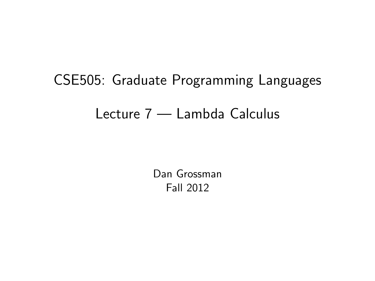# CSE505: Graduate Programming Languages Lecture 7 — Lambda Calculus

<span id="page-0-0"></span>Dan Grossman Fall 2012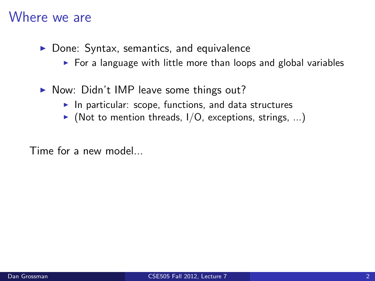#### Where we are

- $\triangleright$  Done: Syntax, semantics, and equivalence
	- $\triangleright$  For a language with little more than loops and global variables
- $\triangleright$  Now: Didn't IMP leave some things out?
	- In particular: scope, functions, and data structures
	- $\blacktriangleright$  (Not to mention threads, I/O, exceptions, strings, ...)

Time for a new model...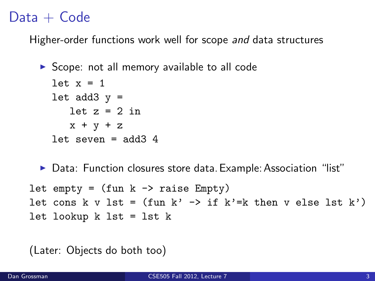## $Data + Code$

Higher-order functions work well for scope and data structures

```
\triangleright Scope: not all memory available to all code
  let x = 1let add3 y =let z = 2 in
     x + y + zlet seven = add34
```
▶ Data: Function closures store data. Example: Association "list"

```
let empty = (fun k \rightarrow raise Empty)let cons k v lst = (fun k' \rightarrow if k'=k then v else lst k')
let lookup k lst = lst k
```
(Later: Objects do both too)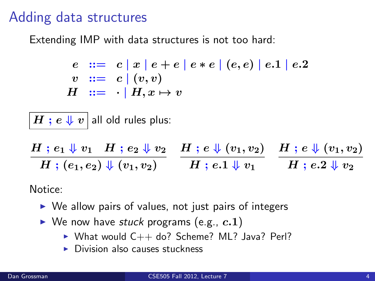#### Adding data structures

Extending IMP with data structures is not too hard:

$$
e ::= c | x | e + e | e * e | (e, e) | e.1 | e.2
$$
  
\n
$$
v ::= c | (v, v)
$$
  
\n
$$
H ::= \cdot | H, x \mapsto v
$$

 $|\, H \; ; \, e \Downarrow v \, |$  all old rules plus:

 $H \; ; \; e_1 \Downarrow v_1 \quad H \; ; \; e_2 \Downarrow v_2 \quad H \; ; \; e \Downarrow (v_1, v_2) \quad H \; ; \; e \Downarrow (v_1, v_2)$  $H~;~(e_1,e_2)\Downarrow(v_1,v_2) \qquad \ \, H~;~e.1\Downarrow v_1 \qquad \ \, H~;~e.2\Downarrow v_2$ 

Notice:

- $\triangleright$  We allow pairs of values, not just pairs of integers
- $\blacktriangleright$  We now have stuck programs (e.g.,  $c.1$ )
	- $\triangleright$  What would  $C++$  do? Scheme? ML? Java? Perl?
	- $\triangleright$  Division also causes stuckness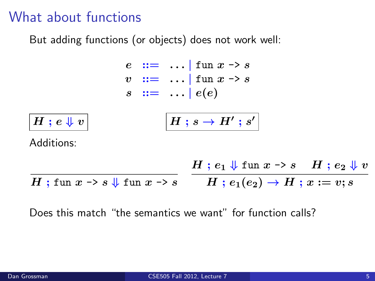#### What about functions

But adding functions (or objects) does not work well:



Does this match "the semantics we want" for function calls?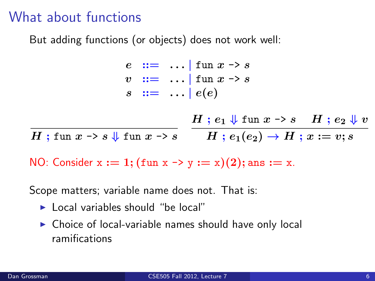### What about functions

But adding functions (or objects) does not work well:

 $e$  :  $=$  ... | fun  $x \rightarrow s$  $v$  :  $=$  ... | fun  $x \rightarrow s$  $s \ ::= \ \ldots \ | \ e(e)$ 

 $H$  ; fun  $x\rightarrow s$   $\Downarrow$  fun  $x\rightarrow s$   $\qquad$   $H$  ;  $e_1(e_2)\rightarrow H$  ;  $x:=v;s$  $H : e_1 \Downarrow$  fun  $x \rightarrow s$   $H : e_2 \Downarrow v$ 

NO: Consider  $x := 1$ ; (fun  $x \rightarrow y := x$ )(2); ans  $:= x$ .

Scope matters; variable name does not. That is:

- $\blacktriangleright$  Local variables should "be local"
- $\triangleright$  Choice of local-variable names should have only local ramifications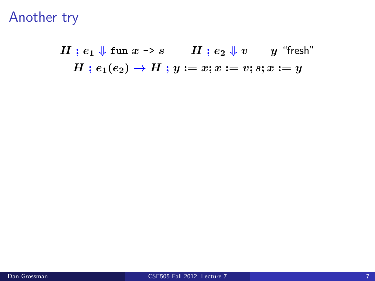$H$ ;  $e_1 \Downarrow$  fun  $x \rightarrow s$   $H$ ;  $e_2 \Downarrow v$   $y$  "fresh"  $H$ ;  $e_1(e_2) \rightarrow H$ ;  $y := x; x := v; s; x := y$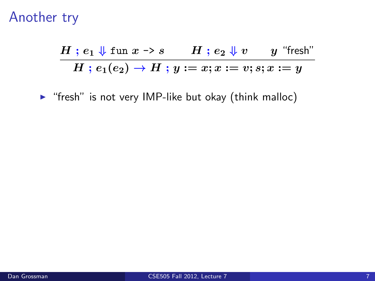$$
\dfrac{H\;;\,e_1\Downarrow \mathrm{fun}\;x\to s\qquad H\;;\,e_2\Downarrow v\qquad y\;\;\textrm{``fresh''}}{H\;;\,e_1(e_2)\to H\;;\,y:=x;x:=v;s;x:=y}
$$

 $\blacktriangleright$  "fresh" is not very IMP-like but okay (think malloc)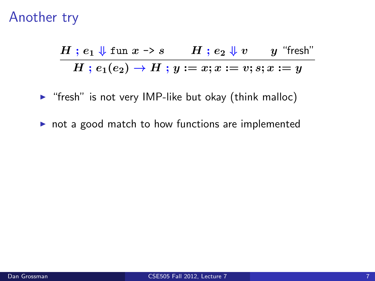$$
\dfrac{H\;;\,e_1\Downarrow \mathrm{fun}\;x\to s\qquad H\;;\,e_2\Downarrow v\qquad y\;\;\textrm{``fresh''}}{H\;;\,e_1(e_2)\to H\;;\,y:=x;x:=v;s;x:=y}
$$

 $\triangleright$  "fresh" is not very IMP-like but okay (think malloc)

 $\triangleright$  not a good match to how functions are implemented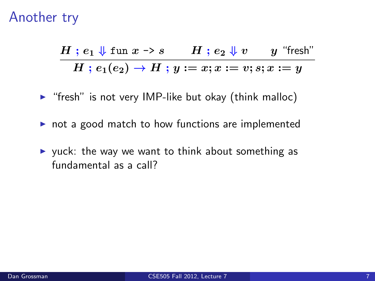$$
\dfrac{H\;;\,e_1\Downarrow \mathrm{fun}\;x\to s\qquad H\;;\,e_2\Downarrow v\qquad y\;\;\textrm{``fresh''}}{H\;;\,e_1(e_2)\to H\;;\,y:=x;x:=v;s;x:=y}
$$

- $\triangleright$  "fresh" is not very IMP-like but okay (think malloc)
- $\triangleright$  not a good match to how functions are implemented
- $\triangleright$  yuck: the way we want to think about something as fundamental as a call?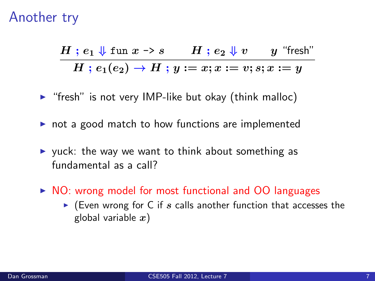$$
\dfrac{H\;;\,e_1\Downarrow \mathrm{fun}\;x\to s \qquad H\;;\,e_2\Downarrow v \qquad y\;\;\textrm{``fresh''}}{H\;;\,e_1(e_2)\to H\;;\,y:=x;x:=v;s;x:=y}
$$

- $\triangleright$  "fresh" is not very IMP-like but okay (think malloc)
- $\triangleright$  not a good match to how functions are implemented
- $\triangleright$  yuck: the way we want to think about something as fundamental as a call?
- $\triangleright$  NO: wrong model for most functional and OO languages
	- $\triangleright$  (Even wrong for C if s calls another function that accesses the global variable  $x$ )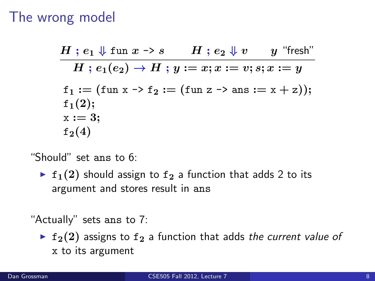#### The wrong model

 $H$ ;  $e_1 \Downarrow$  fun  $x \rightarrow s$   $H$ ;  $e_2 \Downarrow v$   $y$  "fresh"  $H : e_1(e_2) \to H : y := x; x := v; s; x := y$  $f_1 := (fun x \rightarrow f_2 := (fun z \rightarrow ans := x + z));$  $f_1(2);$  $x := 3$ :  $f_2(4)$ 

"Should" set ans to 6:

**F** f<sub>1</sub>(2) should assign to f<sub>2</sub> a function that adds 2 to its argument and stores result in ans

"Actually" sets ans to 7:

 $\triangleright$  f<sub>2</sub>(2) assigns to f<sub>2</sub> a function that adds the current value of x to its argument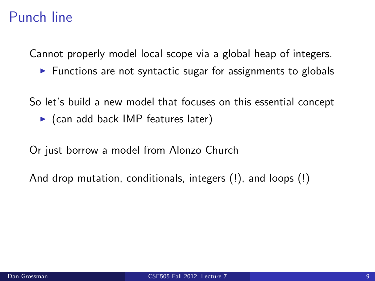## Punch line

Cannot properly model local scope via a global heap of integers.

 $\triangleright$  Functions are not syntactic sugar for assignments to globals

So let's build a new model that focuses on this essential concept

 $\triangleright$  (can add back IMP features later)

Or just borrow a model from Alonzo Church

And drop mutation, conditionals, integers (!), and loops (!)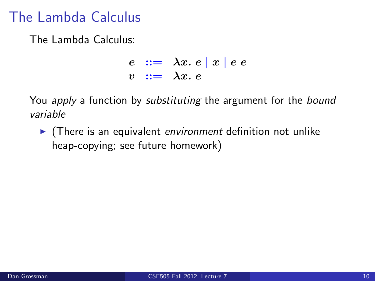## The Lambda Calculus

The Lambda Calculus:

$$
\begin{array}{rcl}\ne & ::= & \lambda x. e \mid x \mid e e \\
v & ::= & \lambda x. e\n\end{array}
$$

You apply a function by substituting the argument for the bound variable

 $\blacktriangleright$  (There is an equivalent environment definition not unlike heap-copying; see future homework)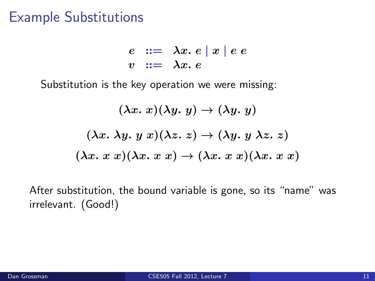#### Example Substitutions

 $e ::= \lambda x. e | x | e e$  $v := \lambda x. e$ 

Substitution is the key operation we were missing:

$$
(\lambda x. x)(\lambda y. y) \to (\lambda y. y)
$$

$$
(\lambda x. \lambda y. y x)(\lambda z. z) \to (\lambda y. y \lambda z. z)
$$

$$
(\lambda x. x x)(\lambda x. x x) \to (\lambda x. x x)(\lambda x. x x)
$$

After substitution, the bound variable is gone, so its "name" was irrelevant. (Good!)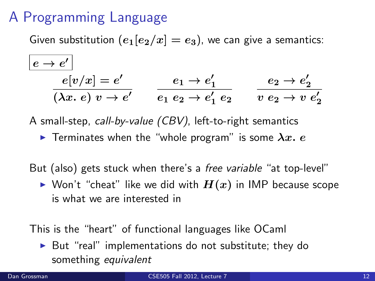## A Programming Language

Given substitution  $(e_1[e_2/x] = e_3)$ , we can give a semantics:

$$
\frac{e \rightarrow e'}{e[v/x] = e'} \qquad e_1 \rightarrow e'_1 \qquad e_2 \rightarrow e'_2
$$
  
\n
$$
\overline{(\lambda x. e) v \rightarrow e'} \qquad e_1 e_2 \rightarrow e'_1 e_2 \qquad \overline{v e_2 \rightarrow v e'_2}
$$

A small-step, call-by-value (CBV), left-to-right semantics

**F** Terminates when the "whole program" is some  $\lambda x$ . e

But (also) gets stuck when there's a *free variable* "at top-level"

 $\blacktriangleright$  Won't "cheat" like we did with  $H(x)$  in IMP because scope is what we are interested in

This is the "heart" of functional languages like OCaml

 $\triangleright$  But "real" implementations do not substitute; they do something equivalent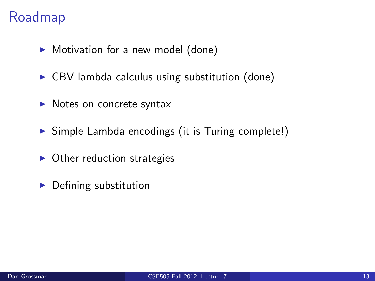## Roadmap

- $\blacktriangleright$  Motivation for a new model (done)
- $\triangleright$  CBV lambda calculus using substitution (done)
- $\blacktriangleright$  Notes on concrete syntax
- $\triangleright$  Simple Lambda encodings (it is Turing complete!)
- $\triangleright$  Other reduction strategies
- $\blacktriangleright$  Defining substitution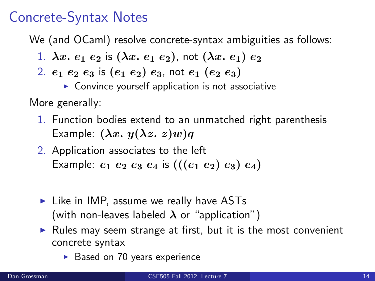## Concrete-Syntax Notes

We (and OCaml) resolve concrete-syntax ambiguities as follows:

- 1.  $\lambda x. e_1 e_2$  is  $(\lambda x. e_1 e_2)$ , not  $(\lambda x. e_1) e_2$
- 2.  $e_1$   $e_2$   $e_3$  is  $(e_1$   $e_2)$   $e_3$ , not  $e_1$   $(e_2$   $e_3)$ 
	- $\triangleright$  Convince yourself application is not associative

More generally:

- 1. Function bodies extend to an unmatched right parenthesis Example:  $(\lambda x. y(\lambda z. z) w)q$
- 2. Application associates to the left Example:  $e_1 e_2 e_3 e_4$  is  $(((e_1 e_2) e_3) e_4)$
- $\blacktriangleright$  Like in IMP, assume we really have ASTs (with non-leaves labeled  $\lambda$  or "application")
- $\triangleright$  Rules may seem strange at first, but it is the most convenient concrete syntax
	- $\triangleright$  Based on 70 years experience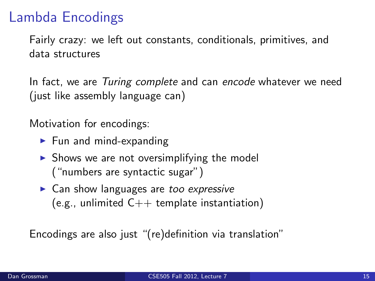## Lambda Encodings

Fairly crazy: we left out constants, conditionals, primitives, and data structures

In fact, we are Turing complete and can encode whatever we need (just like assembly language can)

Motivation for encodings:

- $\blacktriangleright$  Fun and mind-expanding
- $\triangleright$  Shows we are not oversimplifying the model ("numbers are syntactic sugar")
- $\triangleright$  Can show languages are too expressive  $(e.g.,$  unlimited  $C++$  template instantiation)

Encodings are also just "(re)definition via translation"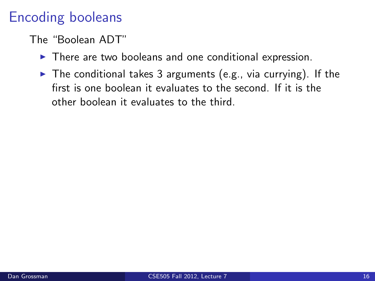## Encoding booleans

#### The "Boolean ADT"

- $\blacktriangleright$  There are two booleans and one conditional expression.
- $\triangleright$  The conditional takes 3 arguments (e.g., via currying). If the first is one boolean it evaluates to the second. If it is the other boolean it evaluates to the third.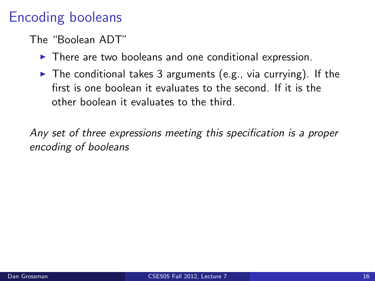## Encoding booleans

#### The "Boolean ADT"

- $\blacktriangleright$  There are two booleans and one conditional expression.
- $\triangleright$  The conditional takes 3 arguments (e.g., via currying). If the first is one boolean it evaluates to the second. If it is the other boolean it evaluates to the third.

Any set of three expressions meeting this specification is a proper encoding of booleans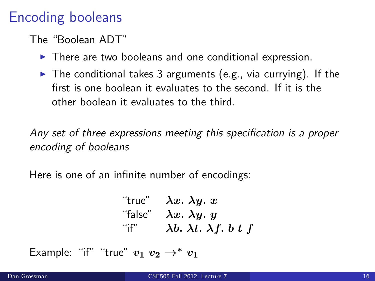## Encoding booleans

#### The "Boolean ADT"

- $\blacktriangleright$  There are two booleans and one conditional expression.
- $\triangleright$  The conditional takes 3 arguments (e.g., via currying). If the first is one boolean it evaluates to the second. If it is the other boolean it evaluates to the third.

Any set of three expressions meeting this specification is a proper encoding of booleans

Here is one of an infinite number of encodings:

"true" 
$$
\lambda x. \lambda y. x
$$

\n"false"  $\lambda x. \lambda y. y$ 

\n"if"  $\lambda b. \lambda t. \lambda f. b t f$ 

Example: "if" "true"  $v_1$   $v_2 \rightarrow^* v_1$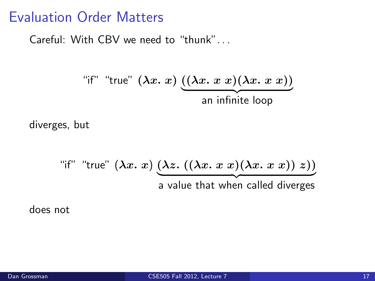#### Evaluation Order Matters

Careful: With CBV we need to "thunk". . .

"if" "true" 
$$
(\lambda x. x)
$$
  $((\lambda x. x x)(\lambda x. x x))$   
an infinite loop

diverges, but

"if" "true" 
$$
(\lambda x. x) \underbrace{(\lambda z. ((\lambda x. x x)(\lambda x. x x)) z))}
$$
  
a value that when called diverges

does not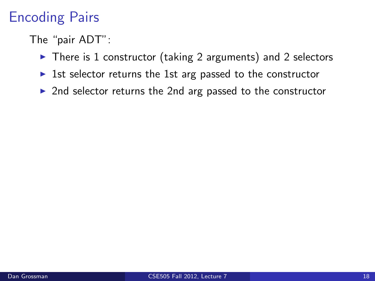# Encoding Pairs

The "pair ADT":

- $\triangleright$  There is 1 constructor (taking 2 arguments) and 2 selectors
- Ist selector returns the 1st arg passed to the constructor
- $\triangleright$  2nd selector returns the 2nd arg passed to the constructor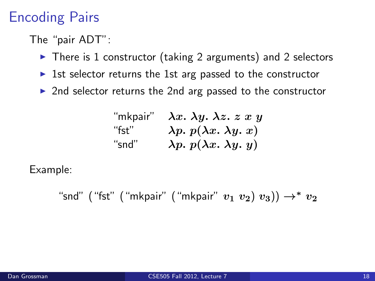## Encoding Pairs

The "pair ADT":

- $\triangleright$  There is 1 constructor (taking 2 arguments) and 2 selectors
- Ist selector returns the 1st arg passed to the constructor
- $\triangleright$  2nd selector returns the 2nd arg passed to the constructor

| "mkpair" | $\lambda x. \lambda y. \lambda z. z x y$ |
|----------|------------------------------------------|
| "fst"    | $\lambda p. p(\lambda x. \lambda y. x)$  |
| "snd"    | $\lambda p. p(\lambda x. \lambda y. y)$  |

Example:

"snd" ("fst" ("mkpair" ("mkpair"  $v_1$   $v_2$ )  $v_3$ ))  $\rightarrow^*$   $v_2$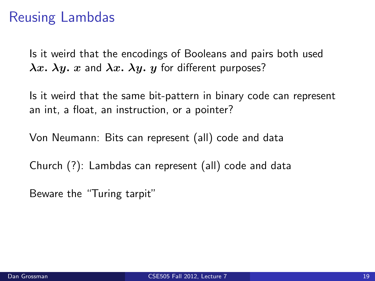## Reusing Lambdas

Is it weird that the encodings of Booleans and pairs both used  $\lambda x$ .  $\lambda y$ . x and  $\lambda x$ .  $\lambda y$ . y for different purposes?

Is it weird that the same bit-pattern in binary code can represent an int, a float, an instruction, or a pointer?

Von Neumann: Bits can represent (all) code and data

Church (?): Lambdas can represent (all) code and data

Beware the "Turing tarpit"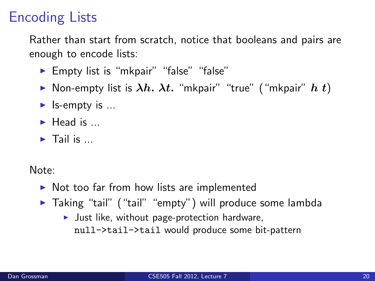# Encoding Lists

Rather than start from scratch, notice that booleans and pairs are enough to encode lists:

- ► Empty list is "mkpair" "false" "false"
- Non-empty list is  $\lambda h$ .  $\lambda t$ . "mkpair" "true" ("mkpair"  $h$  t)
- $\blacktriangleright$  Is-empty is ...
- $\blacktriangleright$  Head is  $\blacktriangleright$
- $\blacktriangleright$  Tail is  $\blacktriangleright$

Note:

- $\triangleright$  Not too far from how lists are implemented
- ▶ Taking "tail" ("tail" "empty") will produce some lambda
	- $\blacktriangleright$  Just like, without page-protection hardware, null->tail->tail would produce some bit-pattern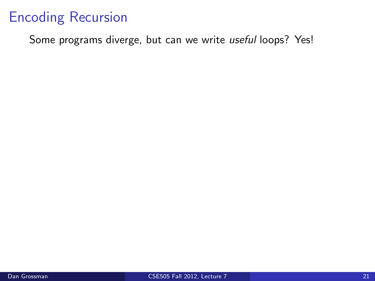Some programs diverge, but can we write useful loops? Yes!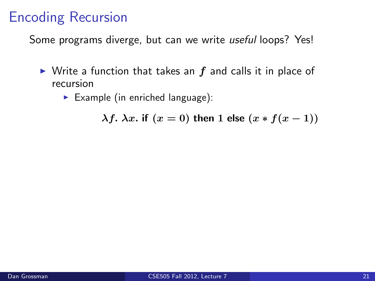Some programs diverge, but can we write useful loops? Yes!

- $\triangleright$  Write a function that takes an f and calls it in place of recursion
	- Example (in enriched language):

 $\lambda f$ .  $\lambda x$ . if  $(x = 0)$  then 1 else  $(x * f(x - 1))$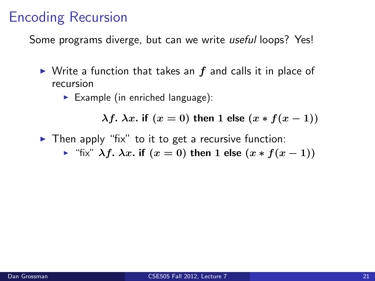Some programs diverge, but can we write useful loops? Yes!

- $\triangleright$  Write a function that takes an f and calls it in place of recursion
	- Example (in enriched language):

 $\lambda f. \lambda x.$  if  $(x = 0)$  then 1 else  $(x * f(x - 1))$ 

- $\triangleright$  Then apply "fix" to it to get a recursive function:
	- $\triangleright$  "fix"  $\lambda f$ .  $\lambda x$ . if  $(x = 0)$  then 1 else  $(x * f(x 1))$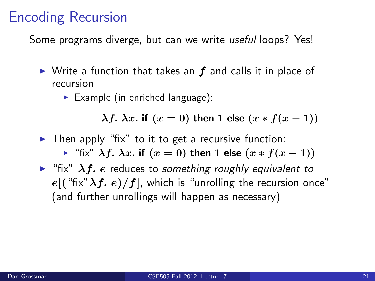Some programs diverge, but can we write useful loops? Yes!

- $\triangleright$  Write a function that takes an f and calls it in place of recursion
	- Example (in enriched language):

 $\lambda f$ .  $\lambda x$ . if  $(x = 0)$  then 1 else  $(x * f(x - 1))$ 

 $\triangleright$  Then apply "fix" to it to get a recursive function:

 $\triangleright$  "fix"  $\lambda f$ .  $\lambda x$ . if  $(x = 0)$  then 1 else  $(x * f(x - 1))$ 

 $\triangleright$  "fix"  $\lambda f$ . e reduces to something roughly equivalent to  $e((\text{``fix''}\lambda f, e)/f]$ , which is "unrolling the recursion once" (and further unrollings will happen as necessary)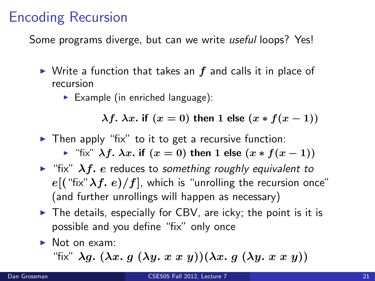Some programs diverge, but can we write useful loops? Yes!

- $\triangleright$  Write a function that takes an f and calls it in place of recursion
	- $\blacktriangleright$  Example (in enriched language):

 $\lambda f$ .  $\lambda x$ . if  $(x = 0)$  then 1 else  $(x * f(x - 1))$ 

 $\triangleright$  Then apply "fix" to it to get a recursive function:

 $\triangleright$  "fix"  $\lambda f$ .  $\lambda x$ . if  $(x = 0)$  then 1 else  $(x * f(x - 1))$ 

- $\triangleright$  "fix"  $\lambda f$ . e reduces to something roughly equivalent to  $e((\text{``fix''}\lambda f, e)/f]$ , which is "unrolling the recursion once" (and further unrollings will happen as necessary)
- $\triangleright$  The details, especially for CBV, are icky; the point is it is possible and you define "fix" only once
- $\blacktriangleright$  Not on exam:

"fix"  $\lambda q.$   $(\lambda x. q. (\lambda y. x x y))(\lambda x. q. (\lambda y. x x y))$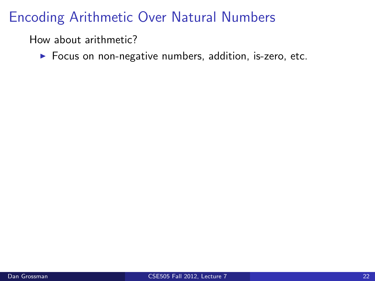How about arithmetic?

 $\blacktriangleright$  Focus on non-negative numbers, addition, is-zero, etc.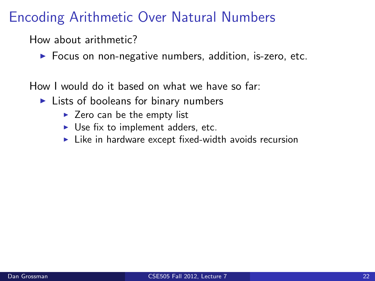How about arithmetic?

 $\triangleright$  Focus on non-negative numbers, addition, is-zero, etc.

How I would do it based on what we have so far:

- $\blacktriangleright$  Lists of booleans for binary numbers
	- $\blacktriangleright$  Zero can be the empty list
	- $\triangleright$  Use fix to implement adders, etc.
	- $\blacktriangleright$  Like in hardware except fixed-width avoids recursion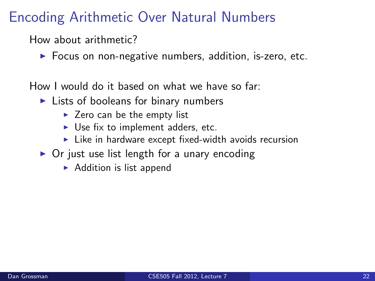How about arithmetic?

 $\triangleright$  Focus on non-negative numbers, addition, is-zero, etc.

How I would do it based on what we have so far:

- $\blacktriangleright$  Lists of booleans for binary numbers
	- $\blacktriangleright$  Zero can be the empty list
	- $\triangleright$  Use fix to implement adders, etc.
	- $\blacktriangleright$  Like in hardware except fixed-width avoids recursion
- $\triangleright$  Or just use list length for a unary encoding
	- $\triangleright$  Addition is list append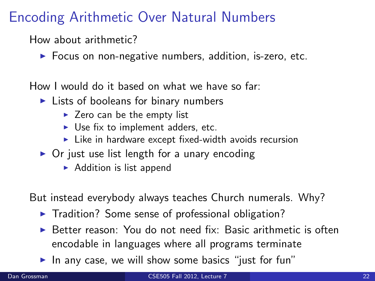How about arithmetic?

 $\triangleright$  Focus on non-negative numbers, addition, is-zero, etc.

How I would do it based on what we have so far:

- $\blacktriangleright$  Lists of booleans for binary numbers
	- $\blacktriangleright$  Zero can be the empty list
	- $\triangleright$  Use fix to implement adders, etc.
	- $\blacktriangleright$  Like in hardware except fixed-width avoids recursion
- $\triangleright$  Or just use list length for a unary encoding
	- $\triangleright$  Addition is list append

But instead everybody always teaches Church numerals. Why?

- $\blacktriangleright$  Tradition? Some sense of professional obligation?
- $\triangleright$  Better reason: You do not need fix: Basic arithmetic is often encodable in languages where all programs terminate
- In any case, we will show some basics "just for fun"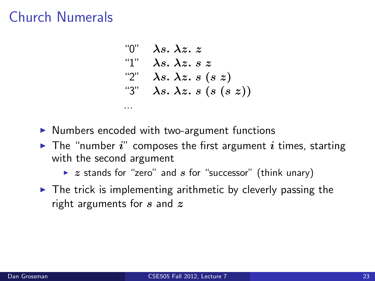$$
\begin{array}{ll}\n\text{``0''} & \lambda s. \ \lambda z. \ z \\
\text{``1''} & \lambda s. \ \lambda z. \ s \ z \\
\text{``2''} & \lambda s. \ \lambda z. \ s \ (s \ z) \\
\text{``3''} & \lambda s. \ \lambda z. \ s \ (s \ (s \ z))\n\end{array}
$$

 $\triangleright$  Numbers encoded with two-argument functions

...

- $\blacktriangleright$  The "number i" composes the first argument i times, starting with the second argument
	- $\triangleright$  z stands for "zero" and s for "successor" (think unary)
- $\blacktriangleright$  The trick is implementing arithmetic by cleverly passing the right arguments for  $s$  and  $z$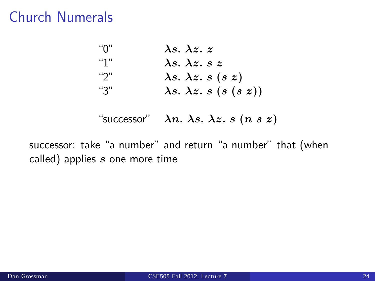| "በ" | $\lambda s. \lambda z. z$           |
|-----|-------------------------------------|
| "1" | $\lambda s$ , $\lambda z$ , $s z$   |
| "2" | $\lambda s. \lambda z. s (s z)$     |
| "3" | $\lambda s. \lambda z. s (s (s z))$ |

"successor"  $\lambda n. \lambda s. \lambda z. s (n s z)$ 

successor: take "a number" and return "a number" that (when called) applies  $s$  one more time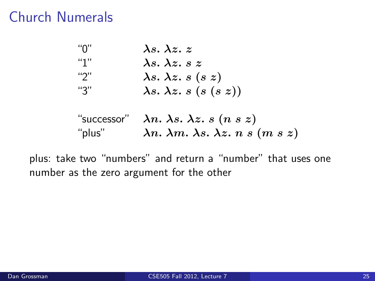| "በ" | $\lambda s. \lambda z. z$           |
|-----|-------------------------------------|
| "1" | $\lambda s$ , $\lambda z$ , s z     |
| "2" | $\lambda s. \lambda z. s (s z)$     |
| "3" | $\lambda s. \lambda z. s (s (s z))$ |

"successor"  $\lambda n. \lambda s. \lambda z. s (n s z)$ "plus"  $\lambda n. \lambda m. \lambda s. \lambda z. n s (m s z)$ 

plus: take two "numbers" and return a "number" that uses one number as the zero argument for the other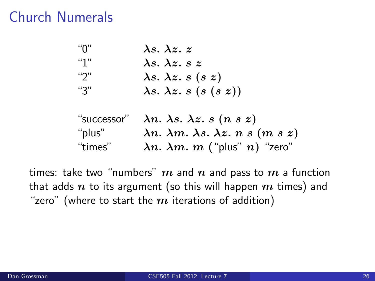| "በ" | $\lambda s. \lambda z. z$           |
|-----|-------------------------------------|
| "1" | $\lambda s. \lambda z. s z$         |
| "2" | $\lambda s. \lambda z. s (s z)$     |
| "3" | $\lambda s. \lambda z. s (s (s z))$ |

|         | "successor" $\lambda n. \lambda s. \lambda z. s (n s z)$  |
|---------|-----------------------------------------------------------|
| "plus"  | $\lambda n. \lambda m. \lambda s. \lambda z. n s (m s z)$ |
| "times" | $\lambda n. \lambda m. m$ ("plus" n) "zero"               |

times: take two "numbers"  $m$  and  $n$  and pass to  $m$  a function that adds  $n$  to its argument (so this will happen  $m$  times) and "zero" (where to start the  $m$  iterations of addition)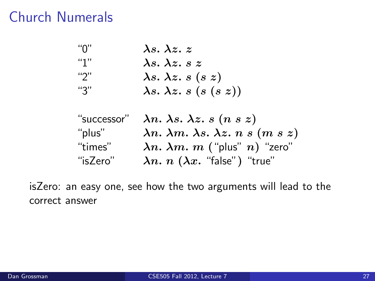| "በ" | $\lambda s. \lambda z. z$           |
|-----|-------------------------------------|
| "1" | $\lambda s. \lambda z. s z$         |
| "2" | $\lambda s. \lambda z. s (s z)$     |
| "3" | $\lambda s. \lambda z. s (s (s z))$ |

| "successor" | $\lambda n. \lambda s. \lambda z. s (n s z)$              |
|-------------|-----------------------------------------------------------|
| "plus"      | $\lambda n. \lambda m. \lambda s. \lambda z. n s (m s z)$ |
| "times"     | $\lambda n. \lambda m. m$ ("plus" n) "zero"               |
| "isZero"    | $\lambda n. n$ $(\lambda x.$ "false") "true"              |

isZero: an easy one, see how the two arguments will lead to the correct answer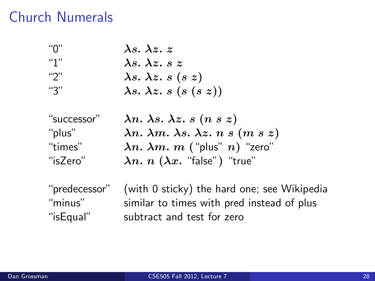| "በ" | $\lambda s. \lambda z. z$           |
|-----|-------------------------------------|
| "1" | $\lambda s$ , $\lambda z$ , s z     |
| "2" | $\lambda s. \lambda z. s (s z)$     |
| "3" | $\lambda s. \lambda z. s (s (s z))$ |

"successor"  $\lambda n. \lambda s. \lambda z. s (n s z)$ "plus"  $\lambda n. \lambda m. \lambda s. \lambda z. n s (m s z)$ "times"  $\lambda n. \lambda m. m$  ("plus" n) "zero" "isZero"  $\lambda n. n (\lambda x.$  "false") "true"

"predecessor" (with 0 sticky) the hard one; see Wikipedia "minus" similar to times with pred instead of plus "isEqual" subtract and test for zero